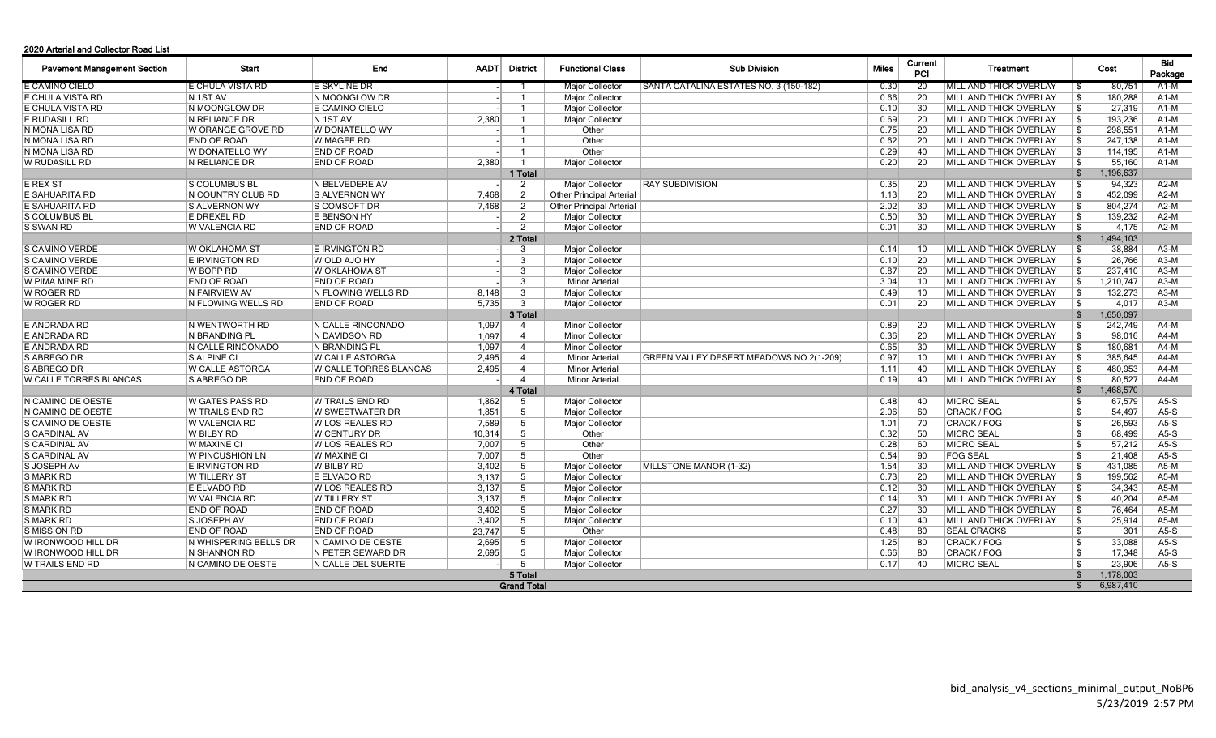## 2020 Arterial and Collector Road List

| <b>Pavement Management Section</b> | <b>Start</b>            | <b>End</b>             | <b>AADT</b> | <b>District</b> | <b>Functional Class</b>         | <b>Sub Division</b>                     | <b>Miles</b> | Current<br>PCI |                 | <b>Treatment</b>               |                         | Cost      | Bid<br>Package |
|------------------------------------|-------------------------|------------------------|-------------|-----------------|---------------------------------|-----------------------------------------|--------------|----------------|-----------------|--------------------------------|-------------------------|-----------|----------------|
| E CAMINO CIELO                     | <b>E CHULA VISTA RD</b> | E SKYLINE DR           |             |                 | Major Collector                 | SANTA CATALINA ESTATES NO. 3 (150-182)  | 0.30         |                | $\overline{20}$ | MILL AND THICK OVERLAY         | l \$                    | 80,751    | A1-M           |
| E CHULA VISTA RD                   | N 1ST AV                | N MOONGLOW DR          |             |                 | Major Collector                 |                                         | 0.66         |                | 20              | MILL AND THICK OVERLAY         | \$                      | 180,288   | A1-M           |
| E CHULA VISTA RD                   | N MOONGLOW DR           | E CAMINO CIELO         |             |                 | Major Collector                 |                                         | 0.10         |                | 30              | <b>MILL AND THICK OVERLAY</b>  | $\mathfrak{L}$          | 27.319    | $A1-M$         |
| E RUDASILL RD                      | N RELIANCE DR           | N 1ST AV               | 2.380       |                 | Major Collector                 |                                         | 0.69         |                | 20              | MILL AND THICK OVERLAY         | \$                      | 193,236   | A1-M           |
| N MONA LISA RD                     | W ORANGE GROVE RD       | W DONATELLO WY         |             |                 | Other                           |                                         | 0.75         |                | 20              | MILL AND THICK OVERLAY         | \$                      | 298,551   | $A1-M$         |
| N MONA LISA RD                     | <b>END OF ROAD</b>      | W MAGEE RD             |             |                 | Other                           |                                         | 0.62         |                | 20              | MILL AND THICK OVERLAY         | \$                      | 247,138   | A1-M           |
| N MONA LISA RD                     | <b>W DONATELLO WY</b>   | <b>END OF ROAD</b>     |             |                 | Other                           |                                         | 0.29         |                | 40              | <b>IMILL AND THICK OVERLAY</b> | \$                      | 114.195   | $A1-M$         |
| <b>W RUDASILL RD</b>               | <b>N RELIANCE DR</b>    | <b>END OF ROAD</b>     | 2.380       |                 | Major Collector                 |                                         | 0.20         |                | 20              | MILL AND THICK OVERLAY         | \$                      | 55,160    | $A1-M$         |
|                                    |                         |                        |             | 1 Total         |                                 |                                         |              |                |                 |                                | \$                      | 1,196,637 |                |
| E REX ST                           | <b>S COLUMBUS BL</b>    | N BELVEDERE AV         |             | 2               | <b>Major Collector</b>          | <b>RAY SUBDIVISION</b>                  | 0.35         |                | 20              | MILL AND THICK OVERLAY         | \$                      | 94,323    | $A2-M$         |
| E SAHUARITA RD                     | N COUNTRY CLUB RD       | S ALVERNON WY          | 7,468       | 2               | <b>Other Principal Arterial</b> |                                         | 1.13         |                | 20              | MILL AND THICK OVERLAY         | \$                      | 452,099   | $A2-M$         |
| E SAHUARITA RD                     | S ALVERNON WY           | S COMSOFT DR           | 7,468       | 2               | <b>Other Principal Arterial</b> |                                         | 2.02         |                | 30              | MILL AND THICK OVERLAY         | $\mathfrak{L}$          | 804,274   | $A2-M$         |
| S COLUMBUS BL                      | E DREXEL RD             | E BENSON HY            |             | 2               | Major Collector                 |                                         | 0.50         |                | 30              | MILL AND THICK OVERLAY         | $\mathfrak{L}$          | 139,232   | $A2-M$         |
| S SWAN RD                          | W VALENCIA RD           | <b>END OF ROAD</b>     |             | 2               | <b>Major Collector</b>          |                                         | 0.01         |                | 30              | MILL AND THICK OVERLAY         | \$                      | 4,175     | $A2-M$         |
|                                    |                         |                        |             | 2 Total         |                                 |                                         |              |                |                 |                                | \$                      | 1,494,103 |                |
| S CAMINO VERDE                     | <b>W OKLAHOMA ST</b>    | E IRVINGTON RD         |             | 3               | <b>Major Collector</b>          |                                         | 0.14         |                | 10              | MILL AND THICK OVERLAY         | \$                      | 38,884    | $A3-M$         |
| S CAMINO VERDE                     | <b>E IRVINGTON RD</b>   | W OLD AJO HY           |             | $\mathbf{3}$    | Major Collector                 |                                         | 0.10         |                | 20              | <b>MILL AND THICK OVERLAY</b>  | \$                      | 26,766    | $A3-M$         |
| S CAMINO VERDE                     | W BOPP RD               | <b>W OKLAHOMA ST</b>   |             | 3               | <b>Major Collector</b>          |                                         | 0.87         |                | 20              | MILL AND THICK OVERLAY         | $\mathfrak{L}$          | 237,410   | $A3-M$         |
| W PIMA MINE RD                     | <b>END OF ROAD</b>      | <b>END OF ROAD</b>     |             | 3               | <b>Minor Arterial</b>           |                                         | 3.04         |                | 10              | MILL AND THICK OVERLAY         | -\$                     | 1,210,747 | $A3-M$         |
| W ROGER RD                         | N FAIRVIEW AV           | N FLOWING WELLS RD     | 8,148       | $\mathbf{3}$    | Major Collector                 |                                         | 0.49         |                | 10              | MILL AND THICK OVERLAY         | -\$                     | 132,273   | $A3-M$         |
| W ROGER RD                         | N FLOWING WELLS RD      | <b>END OF ROAD</b>     | 5.735       | $\mathbf{3}$    | Major Collector                 |                                         | 0.01         |                | 20              | <b>MILL AND THICK OVERLAY</b>  | \$                      | 4.017     | $A3-M$         |
|                                    |                         |                        |             | 3 Total         |                                 |                                         |              |                |                 |                                | \$                      | 1,650,097 |                |
| E ANDRADA RD                       | IN WENTWORTH RD         | N CALLE RINCONADO      | 1,097       | $\overline{4}$  | <b>Minor Collector</b>          |                                         | 0.89         |                | 20              | MILL AND THICK OVERLAY         | -\$                     | 242,749   | $A4-M$         |
| E ANDRADA RD                       | N BRANDING PL           | N DAVIDSON RD          | 1,097       | $\overline{4}$  | <b>Minor Collector</b>          |                                         | 0.36         |                | 20              | MILL AND THICK OVERLAY         | -\$                     | 98,016    | $A4-M$         |
| E ANDRADA RD                       | IN CALLE RINCONADO      | IN BRANDING PL         | 1.097       | $\overline{4}$  | <b>Minor Collector</b>          |                                         | 0.65         |                | 30              | <b>IMILL AND THICK OVERLAY</b> | -\$                     | 180,681   | $A4-M$         |
| S ABREGO DR                        | <b>S ALPINE CI</b>      | W CALLE ASTORGA        | 2,495       | $\overline{4}$  | <b>Minor Arterial</b>           | GREEN VALLEY DESERT MEADOWS NO.2(1-209) | 0.97         |                | 10              | MILL AND THICK OVERLAY         | $\mathfrak{L}$          | 385,645   | $A4-M$         |
| S ABREGO DR                        | W CALLE ASTORGA         | W CALLE TORRES BLANCAS | 2,495       | $\overline{4}$  | <b>Minor Arterial</b>           |                                         | 1.11         |                | 40              | MILL AND THICK OVERLAY         | \$                      | 480,953   | $A4-M$         |
| W CALLE TORRES BLANCAS             | S ABREGO DR             | <b>END OF ROAD</b>     |             | $\overline{4}$  | <b>Minor Arterial</b>           |                                         | 0.19         |                | 40              | MILL AND THICK OVERLAY         | \$                      | 80,527    | $A4-M$         |
|                                    |                         |                        |             | 4 Total         |                                 |                                         |              |                |                 |                                | \$                      | 1,468,570 |                |
| N CAMINO DE OESTE                  | W GATES PASS RD         | W TRAILS END RD        | 1,862       | -5              | <b>Major Collector</b>          |                                         | 0.48         |                | 40              | <b>MICRO SEAL</b>              | $\overline{\mathbf{s}}$ | 67,579    | $A5-S$         |
| N CAMINO DE OESTE                  | W TRAILS END RD         | <b>W SWEETWATER DR</b> | 1,851       | 5               | Major Collector                 |                                         | 2.06         |                | 60              | CRACK / FOG                    | \$                      | 54,497    | $A5-S$         |
| S CAMINO DE OESTE                  | W VALENCIA RD           | <b>W LOS REALES RD</b> | 7,589       | 5               | Major Collector                 |                                         | 1.01         |                | 70              | CRACK / FOG                    | \$                      | 26,593    | $A5-S$         |
| S CARDINAL AV                      | W BILBY RD              | <b>W CENTURY DR</b>    | 10,314      | 5               | Other                           |                                         | 0.32         |                | 50              | <b>MICRO SEAL</b>              | \$                      | 68,499    | $A5-S$         |
| S CARDINAL AV                      | <b>W MAXINE CI</b>      | <b>W LOS REALES RD</b> | 7,007       | 5               | Other                           |                                         | 0.28         |                | 60              | <b>MICRO SEAL</b>              | \$                      | 57,212    | $A5-S$         |
| S CARDINAL AV                      | W PINCUSHION LN         | <b>W MAXINE CI</b>     | 7,007       | 5               | Other                           |                                         | 0.54         |                | 90              | <b>FOG SEAL</b>                | $\overline{\mathbf{s}}$ | 21,408    | $A5-S$         |
| S JOSEPH AV                        | <b>E IRVINGTON RD</b>   | <b>W BILBY RD</b>      | 3,402       | 5               | Major Collector                 | MILLSTONE MANOR (1-32)                  | 1.54         |                | 30              | MILL AND THICK OVERLAY         | \$                      | 431,085   | $A5-M$         |
| <b>S MARK RD</b>                   | W TILLERY ST            | E ELVADO RD            | 3,137       | 5               | <b>Major Collector</b>          |                                         | 0.73         |                | 20              | MILL AND THICK OVERLAY         | \$                      | 199,562   | $A5-M$         |
| <b>S MARK RD</b>                   | E ELVADO RD             | W LOS REALES RD        | 3,137       | 5               | Major Collector                 |                                         | 0.12         |                | 30              | MILL AND THICK OVERLAY         | -\$                     | 34,343    | $A5-M$         |
| <b>S MARK RD</b>                   | <b>W VALENCIA RD</b>    | <b>W TILLERY ST</b>    | 3.137       | 5               | Major Collector                 |                                         | 0.14         |                | 30              | <b>MILL AND THICK OVERLAY</b>  | \$                      | 40.204    | $A5-M$         |
| <b>S MARK RD</b>                   | <b>END OF ROAD</b>      | <b>END OF ROAD</b>     | 3.402       | $5^{\circ}$     | Major Collector                 |                                         | 0.27         |                | 30              | <b>MILL AND THICK OVERLAY</b>  | \$                      | 76.464    | $A5-M$         |
| <b>S MARK RD</b>                   | <b>S JOSEPH AV</b>      | END OF ROAD            | 3,402       | 5               | Major Collector                 |                                         | 0.10         |                | 40              | MILL AND THICK OVERLAY         | \$                      | 25,914    | $A5-M$         |
| S MISSION RD                       | <b>END OF ROAD</b>      | <b>END OF ROAD</b>     | 23,747      | 5               | Other                           |                                         | 0.48         |                | 80              | <b>SEAL CRACKS</b>             | \$                      | 301       | $A5-S$         |
| W IRONWOOD HILL DR                 | IN WHISPERING BELLS DR  | IN CAMINO DE OESTE     | 2.695       | 5               | <b>Maior Collector</b>          |                                         | 1.25         |                | 80              | CRACK / FOG                    | \$                      | 33.088    | $A5-S$         |
| W IRONWOOD HILL DR                 | IN SHANNON RD           | N PETER SEWARD DR      | 2.695       | 5               | <b>Major Collector</b>          |                                         | 0.66         |                | 80              | <b>CRACK / FOG</b>             | \$                      | 17.348    | $A5-S$         |
| W TRAILS END RD                    | N CAMINO DE OESTE       | N CALLE DEL SUERTE     |             | 5               | <b>Major Collector</b>          |                                         | 0.17         |                | 40              | <b>MICRO SEAL</b>              | \$                      | 23,906    | $A5-S$         |
|                                    |                         |                        |             | 5 Total         |                                 |                                         |              |                |                 |                                | $\mathbf{f}$            | 1,178,003 |                |
| <b>Grand Total</b>                 |                         |                        |             |                 |                                 |                                         |              |                |                 |                                |                         | 6,987,410 |                |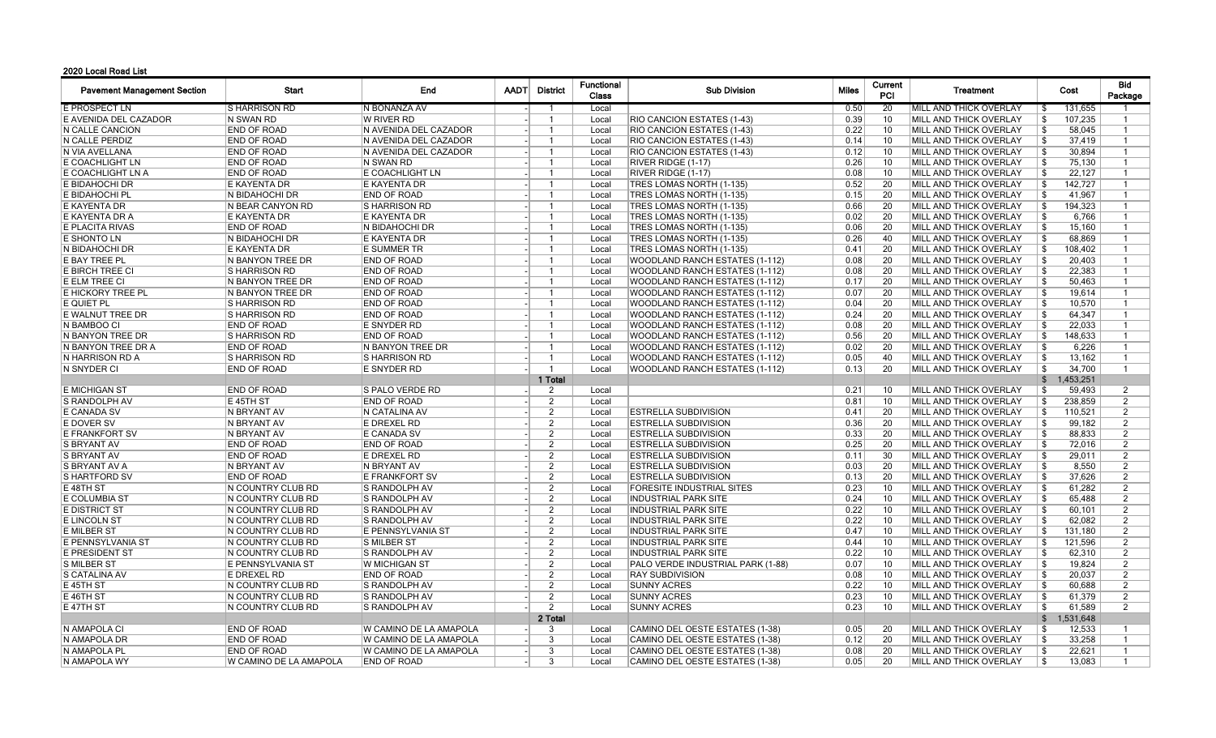## 2020 Local Road List

| <b>Pavement Management Section</b> | Start                          | End                     | <b>AADT</b> | <b>District</b> | <b>Functional</b><br><b>Class</b> | <b>Sub Division</b>                   |      | Current<br><b>PCI</b> | <b>Treatment</b>              |                            | Bid<br>Package |
|------------------------------------|--------------------------------|-------------------------|-------------|-----------------|-----------------------------------|---------------------------------------|------|-----------------------|-------------------------------|----------------------------|----------------|
| E PROSPECT LN                      | <b>SHARRISON RD</b>            | N BONANZA AV            |             |                 | Local                             |                                       | 0.50 | 20                    | <b>MILL AND THICK OVERLAY</b> | 131.655<br>- \$            |                |
| E AVENIDA DEL CAZADOR              | N SWAN RD                      | <b>W RIVER RD</b>       |             | -1              | Local                             | RIO CANCION ESTATES (1-43)            | 0.39 | 10                    | MILL AND THICK OVERLAY        | 107,235<br>\$              | $\mathbf{1}$   |
| N CALLE CANCION                    | <b>END OF ROAD</b>             | N AVENIDA DEL CAZADOR   |             | -1              | Local                             | <b>RIO CANCION ESTATES (1-43)</b>     | 0.22 | 10                    | MILL AND THICK OVERLAY        | \$<br>58.045               | $\mathbf{1}$   |
| N CALLE PERDIZ                     | END OF ROAD                    | N AVENIDA DEL CAZADOR   |             | -1              | Local                             | RIO CANCION ESTATES (1-43)            | 0.14 | 10                    | <b>MILL AND THICK OVERLAY</b> | 37,419<br>\$               | $\mathbf{1}$   |
| N VIA AVELLANA                     | <b>END OF ROAD</b>             | N AVENIDA DEL CAZADOR   |             | $\overline{1}$  | Local                             | RIO CANCION ESTATES (1-43)            | 0.12 | 10                    | MILL AND THICK OVERLAY        | \$<br>30,894               | $\overline{1}$ |
| E COACHLIGHT LN                    | <b>END OF ROAD</b>             | N SWAN RD               |             | -1              | Local                             | <b>RIVER RIDGE (1-17)</b>             | 0.26 | 10                    | MILL AND THICK OVERLAY        | 75,130<br>\$               | $\mathbf{1}$   |
| E COACHLIGHT LN A                  | <b>END OF ROAD</b>             | E COACHLIGHT LN         |             | -1              | Local                             | RIVER RIDGE (1-17)                    | 0.08 | 10                    | MILL AND THICK OVERLAY        | \$<br>22,127               | $\mathbf{1}$   |
| E BIDAHOCHI DR                     | E KAYENTA DR                   | E KAYENTA DR            |             | -1              | Local                             | <b>TRES LOMAS NORTH (1-135)</b>       | 0.52 | 20                    | MILL AND THICK OVERLAY        | \$<br>142,727              |                |
| E BIDAHOCHI PL                     | N BIDAHOCHI DR                 | <b>END OF ROAD</b>      |             |                 | Local                             | TRES LOMAS NORTH (1-135)              | 0.15 | 20                    | MILL AND THICK OVERLAY        | \$<br>41,967               | $\mathbf{1}$   |
| E KAYENTA DR                       | N BEAR CANYON RD               | <b>S HARRISON RD</b>    |             | -1              | Local                             | TRES LOMAS NORTH (1-135)              | 0.66 | 20                    | MILL AND THICK OVERLAY        | 194,323<br>\$              | $\mathbf{1}$   |
| E KAYENTA DR A                     | E KAYENTA DR                   | E KAYENTA DR            |             | -1              | Local                             | TRES LOMAS NORTH (1-135)              | 0.02 | 20                    | MILL AND THICK OVERLAY        | \$<br>6,766                | -1             |
| E PLACITA RIVAS                    | <b>END OF ROAD</b>             | N BIDAHOCHI DR          |             |                 | Local                             | TRES LOMAS NORTH (1-135)              | 0.06 | 20                    | MILL AND THICK OVERLAY        | 15,160<br>-\$              | -1             |
| E SHONTO LN                        | N BIDAHOCHI DR                 | E KAYENTA DR            |             |                 | Local                             | TRES LOMAS NORTH (1-135)              | 0.26 | 40                    | MILL AND THICK OVERLAY        | -\$<br>68,869              | $\overline{1}$ |
| N BIDAHOCHI DR                     | E KAYENTA DR                   | <b>E SUMMER TR</b>      |             | -1              | Local                             | TRES LOMAS NORTH (1-135)              | 0.41 | 20                    | MILL AND THICK OVERLAY        | \$<br>108,402              | $\mathbf{1}$   |
| E BAY TREE PL                      | N BANYON TREE DR               | <b>END OF ROAD</b>      |             | -1              | Local                             | <b>WOODLAND RANCH ESTATES (1-112)</b> | 0.08 | 20                    | MILL AND THICK OVERLAY        | -\$<br>20,403              | $\mathbf{1}$   |
| E BIRCH TREE CI                    | <b>IS HARRISON RD</b>          | <b>END OF ROAD</b>      |             | $\mathbf 1$     | Local                             | <b>WOODLAND RANCH ESTATES (1-112)</b> | 0.08 | 20                    | MILL AND THICK OVERLAY        | \$<br>22,383               | $\mathbf{1}$   |
| E ELM TREE CI                      | N BANYON TREE DR               | <b>END OF ROAD</b>      |             | $\overline{1}$  | Local                             | <b>WOODLAND RANCH ESTATES (1-112)</b> | 0.17 | 20                    | <b>MILL AND THICK OVERLAY</b> | 50.463<br>-\$              | $\mathbf{1}$   |
| <b>E HICKORY TREE PL</b>           | N BANYON TREE DR               | <b>END OF ROAD</b>      |             | $\mathbf{1}$    | Local                             | WOODLAND RANCH ESTATES (1-112)        | 0.07 | 20                    | MILL AND THICK OVERLAY        | \$<br>19,614               | $\mathbf{1}$   |
| E QUIET PL                         | S HARRISON RD                  | <b>END OF ROAD</b>      |             | $\overline{1}$  | Local                             | <b>WOODLAND RANCH ESTATES (1-112)</b> | 0.04 | 20                    | MILL AND THICK OVERLAY        | 10,570<br>\$               | $\overline{1}$ |
| E WALNUT TREE DR                   | S HARRISON RD                  | <b>END OF ROAD</b>      |             | $\overline{1}$  | Local                             | <b>WOODLAND RANCH ESTATES (1-112)</b> | 0.24 | 20                    | MILL AND THICK OVERLAY        | 64,347<br>\$               | $\mathbf{1}$   |
| N BAMBOO CI                        | <b>END OF ROAD</b>             | E SNYDER RD             |             | - 1             | Local                             | <b>WOODLAND RANCH ESTATES (1-112)</b> | 0.08 | 20                    | MILL AND THICK OVERLAY        | \$<br>22,033               | $\mathbf{1}$   |
| N BANYON TREE DR                   | IS HARRISON RD                 | <b>END OF ROAD</b>      |             | -1              | Local                             | WOODLAND RANCH ESTATES (1-112)        | 0.56 | 20                    | MILL AND THICK OVERLAY        | \$<br>148,633              | $\mathbf{1}$   |
| N BANYON TREE DR A                 | <b>END OF ROAD</b>             | N BANYON TREE DR        |             | -1              | Local                             | WOODLAND RANCH ESTATES (1-112)        | 0.02 | 20                    | MILL AND THICK OVERLAY        | \$<br>6,226                | $\mathbf{1}$   |
| N HARRISON RD A                    | <b>S HARRISON RD</b>           | <b>S HARRISON RD</b>    |             | -1              | Local                             | <b>WOODLAND RANCH ESTATES (1-112)</b> | 0.05 | 40                    | MILL AND THICK OVERLAY        | \$<br>13.162               | -1             |
| N SNYDER CI                        | <b>END OF ROAD</b>             | E SNYDER RD             |             | $\overline{1}$  | Local                             | <b>WOODLAND RANCH ESTATES (1-112)</b> | 0.13 | 20                    | MILL AND THICK OVERLAY        | \$<br>34,700               | $\mathbf{1}$   |
|                                    |                                |                         |             | 1 Total         |                                   |                                       |      |                       |                               | 1,453,251<br>$\mathfrak s$ |                |
| <b>E MICHIGAN ST</b>               | <b>END OF ROAD</b>             | S PALO VERDE RD         |             | 2               | Local                             |                                       | 0.21 | 10                    | MILL AND THICK OVERLAY        | \$<br>59,493               | $\overline{2}$ |
| S RANDOLPH AV                      | E 45TH ST                      | <b>END OF ROAD</b>      |             | $\overline{2}$  | Local                             |                                       | 0.81 | 10                    | MILL AND THICK OVERLAY        | 238,859<br>-\$             | 2              |
| E CANADA SV                        | N BRYANT AV                    | N CATALINA AV           |             | 2               | Local                             | <b>ESTRELLA SUBDIVISION</b>           | 0.41 | 20                    | MILL AND THICK OVERLAY        | -\$<br>110.521             | $\overline{2}$ |
| <b>E DOVER SV</b>                  | N BRYANT AV                    | E DREXEL RD             |             | $\overline{2}$  | Local                             | <b>ESTRELLA SUBDIVISION</b>           | 0.36 | 20                    | MILL AND THICK OVERLAY        | 99,182<br>\$               | $\overline{2}$ |
| E FRANKFORT SV                     | N BRYANT AV                    | E CANADA SV             |             | $\overline{2}$  | Local                             | <b>ESTRELLA SUBDIVISION</b>           | 0.33 | 20                    | MILL AND THICK OVERLAY        | 88,833<br>\$               | $\overline{2}$ |
| <b>S BRYANT AV</b>                 | <b>END OF ROAD</b>             | <b>END OF ROAD</b>      |             | $\overline{2}$  | Local                             | <b>ESTRELLA SUBDIVISION</b>           | 0.25 | 20                    | MILL AND THICK OVERLAY        | -\$<br>72,016              | 2              |
| <b>S BRYANT AV</b>                 | <b>END OF ROAD</b>             | E DREXEL RD             |             | $\overline{2}$  | Local                             | <b>ESTRELLA SUBDIVISION</b>           | 0.11 | 30                    | MILL AND THICK OVERLAY        | 29,011<br>-\$              | 2              |
| S BRYANT AV A                      | N BRYANT AV                    | N BRYANT AV             |             | $\overline{2}$  | Local                             | <b>ESTRELLA SUBDIVISION</b>           | 0.03 | 20                    | MILL AND THICK OVERLAY        | -\$<br>8,550               | 2              |
| S HARTFORD SV                      | <b>END OF ROAD</b>             | <b>E FRANKFORT SV</b>   |             | $\overline{2}$  | Local                             | <b>ESTRELLA SUBDIVISION</b>           | 0.13 | 20                    | MILL AND THICK OVERLAY        | \$<br>37,626               | 2              |
| E 48TH ST                          | N COUNTRY CLUB RD              | <b>S RANDOLPH AV</b>    |             | $\overline{2}$  | Local                             | <b>FORESITE INDUSTRIAL SITES</b>      | 0.23 | 10                    | MILL AND THICK OVERLAY        | \$<br>61,282               | $\overline{2}$ |
| E COLUMBIA ST                      | N COUNTRY CLUB RD              | <b>S RANDOLPH AV</b>    |             | 2               | Local                             | <b>INDUSTRIAL PARK SITE</b>           | 0.24 | 10                    | MILL AND THICK OVERLAY        | 65,488<br>\$               | $\overline{2}$ |
| <b>E DISTRICT ST</b>               | N COUNTRY CLUB RD              | <b>S RANDOLPH AV</b>    |             | $\overline{2}$  | Local                             | <b>INDUSTRIAL PARK SITE</b>           | 0.22 | 10                    | MILL AND THICK OVERLAY        | \$<br>60,101               | 2              |
| <b>E LINCOLN ST</b>                | N COUNTRY CLUB RD              | <b>S RANDOLPH AV</b>    |             | $\overline{2}$  | Local                             | <b>INDUSTRIAL PARK SITE</b>           | 0.22 | 10                    | <b>MILL AND THICK OVERLAY</b> | 62,082<br>\$               | 2              |
| <b>E MILBER ST</b>                 | N COUNTRY CLUB RD              | E PENNSYLVANIA ST       |             | $\mathcal{P}$   | Local                             | <b>INDUSTRIAL PARK SITE</b>           | 0.47 | 10                    | MILL AND THICK OVERLAY        | \$<br>131,180              | $\overline{2}$ |
| E PENNSYLVANIA ST                  | IN COUNTRY CLUB RD             | <b>S MILBER ST</b>      |             | 2               | Local                             | <b>INDUSTRIAL PARK SITE</b>           | 0.44 | 10                    | MILL AND THICK OVERLAY        | 121.596<br>-\$             | $\overline{2}$ |
| E PRESIDENT ST                     | N COUNTRY CLUB RD              | S RANDOLPH AV           |             | $\overline{2}$  | Local                             | <b>INDUSTRIAL PARK SITE</b>           | 0.22 | 10                    | MILL AND THICK OVERLAY        | 62,310<br>-\$              | 2              |
| S MILBER ST                        | E PENNSYLVANIA ST              | W MICHIGAN ST           |             | $\mathcal{P}$   | Local                             | PALO VERDE INDUSTRIAL PARK (1-88)     | 0.07 | 10                    | MILL AND THICK OVERLAY        | \$<br>19,824               | 2              |
| S CATALINA AV                      | <b>E DREXEL RD</b>             | <b>END OF ROAD</b>      |             | $\overline{2}$  | Local                             | <b>RAY SUBDIVISION</b>                | 0.08 | 10                    | MILL AND THICK OVERLAY        | 20,037<br>\$               | 2              |
| E 45TH ST                          | N COUNTRY CLUB RD              | <b>S RANDOLPH AV</b>    |             | $\overline{2}$  | Local                             | <b>SUNNY ACRES</b>                    | 0.22 | 10                    | MILL AND THICK OVERLAY        | \$<br>60,688               | $\overline{2}$ |
| <b>E 46TH ST</b>                   | N COUNTRY CLUB RD              | S RANDOLPH AV           |             | $\overline{2}$  | Local                             | <b>SUNNY ACRES</b>                    | 0.23 | 10                    | MILL AND THICK OVERLAY        | \$<br>61,379               | 2              |
| <b>E47THST</b>                     | N COUNTRY CLUB RD              | <b>S RANDOLPH AV</b>    |             | $\overline{2}$  | Local                             | <b>SUNNY ACRES</b>                    | 0.23 | 10                    | MILL AND THICK OVERLAY        | \$<br>61,589               | $\overline{2}$ |
|                                    |                                |                         |             | 2 Total         |                                   |                                       |      |                       |                               | $\mathfrak s$<br>1,531,648 |                |
| N AMAPOLA CI                       | <b>END OF ROAD</b>             | W CAMINO DE LA AMAPOLA  |             | -3              | Local                             | CAMINO DEL OESTE ESTATES (1-38)       | 0.05 | 20                    | MILL AND THICK OVERLAY        | 12,533<br>-\$              | $\mathbf{1}$   |
| N AMAPOLA DR                       | END OF ROAD                    | W CAMINO DE LA AMAPOLA  |             | -3              | Local                             | CAMINO DEL OESTE ESTATES (1-38)       | 0.12 | 20                    | MILL AND THICK OVERLAY        | 33,258<br>-\$              | $\mathbf{1}$   |
| N AMAPOLA PL                       | <b>END OF ROAD</b>             | IW CAMINO DE LA AMAPOLA |             | 3               | Local                             | CAMINO DEL OESTE ESTATES (1-38)       | 0.08 | 20                    | MILL AND THICK OVERLAY        | \$<br>22.621               | $\mathbf{1}$   |
| N AMAPOLA WY                       | <b>IW CAMINO DE LA AMAPOLA</b> | <b>END OF ROAD</b>      |             | 3               | Local                             | CAMINO DEL OESTE ESTATES (1-38)       | 0.05 | 20                    | MILL AND THICK OVERLAY        | 13.083<br>-\$              | $\mathbf{1}$   |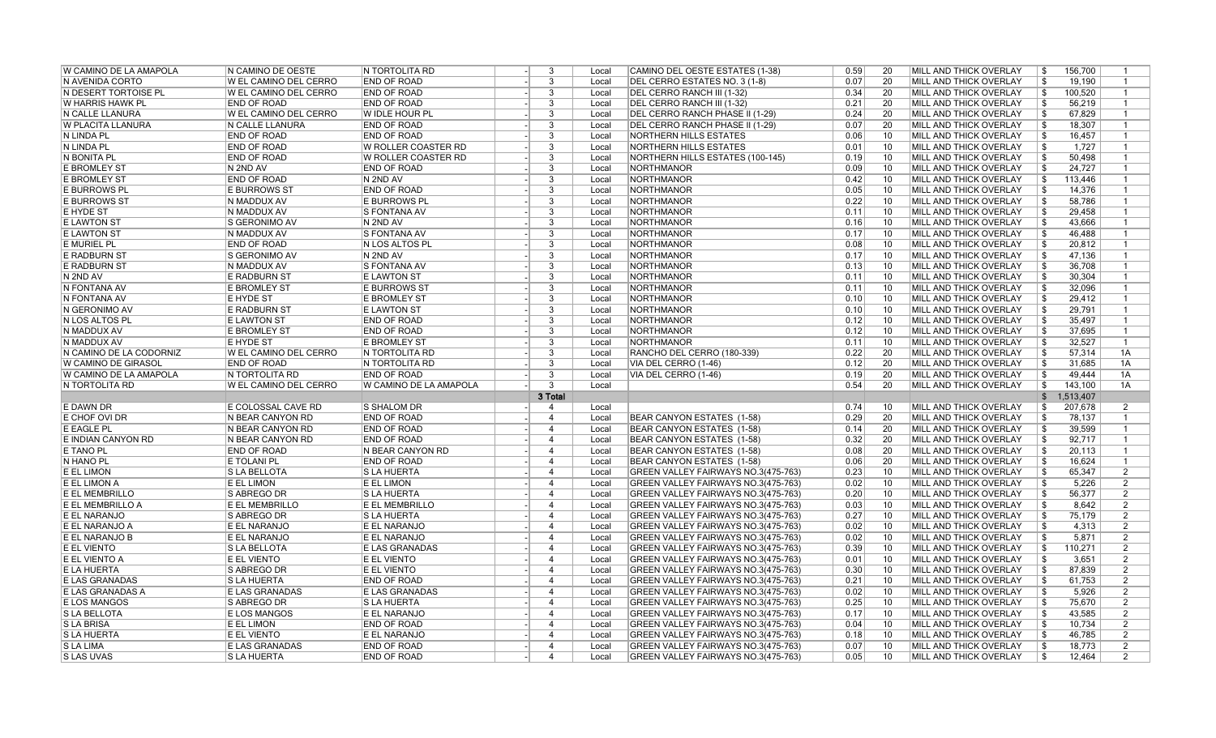| <b>W CAMINO DE LA AMAPOLA</b> | N CAMINO DE OESTE                           | N TORTOLITA RD                           | 3                                | Local          | CAMINO DEL OESTE ESTATES (1-38)                                            | 0.59         | 20              | MILL AND THICK OVERLAY                           | -\$<br>156,700                 |                     |
|-------------------------------|---------------------------------------------|------------------------------------------|----------------------------------|----------------|----------------------------------------------------------------------------|--------------|-----------------|--------------------------------------------------|--------------------------------|---------------------|
| N AVENIDA CORTO               | <b>W EL CAMINO DEL CERRO</b>                | <b>END OF ROAD</b>                       | 3                                | Local          | DEL CERRO ESTATES NO. 3 (1-8)                                              | 0.07         | 20              | <b>MILL AND THICK OVERLAY</b>                    | 19,190<br>-\$                  |                     |
| N DESERT TORTOISE PL          | W EL CAMINO DEL CERRO                       | <b>END OF ROAD</b>                       | 3                                | Local          | DEL CERRO RANCH III (1-32)                                                 | 0.34         | 20              | MILL AND THICK OVERLAY                           | \$<br>100,520                  | $\mathbf{1}$        |
| W HARRIS HAWK PL              | <b>END OF ROAD</b>                          | <b>END OF ROAD</b>                       | $\overline{3}$                   | Local          | DEL CERRO RANCH III (1-32)                                                 | 0.21         | $\overline{20}$ | MILL AND THICK OVERLAY                           | \$<br>56,219                   | $\mathbf{1}$        |
| N CALLE LLANURA               | W EL CAMINO DEL CERRO                       | W IDLE HOUR PL                           | 3                                | Local          | DEL CERRO RANCH PHASE II (1-29)                                            | 0.24         | 20              | MILL AND THICK OVERLAY                           | 67,829<br>  \$                 | $\mathbf{1}$        |
| <b>W PLACITA LLANURA</b>      | N CALLE LLANURA                             | <b>END OF ROAD</b>                       | 3                                | Local          | DEL CERRO RANCH PHASE II (1-29)                                            | 0.07         | 20              | MILL AND THICK OVERLAY                           | \$<br>18.307                   | $\overline{1}$      |
| N LINDA PL                    | <b>END OF ROAD</b>                          | <b>END OF ROAD</b>                       | 3                                | Local          | <b>NORTHERN HILLS ESTATES</b>                                              | 0.06         | 10              | MILL AND THICK OVERLAY                           | 16,457<br>\$                   | $\mathbf{1}$        |
| N LINDA PL                    | <b>END OF ROAD</b>                          | W ROLLER COASTER RD                      | 3                                | Local          | <b>NORTHERN HILLS ESTATES</b>                                              | 0.01         | 10              | MILL AND THICK OVERLAY                           | 5<br>1,727                     | $\mathbf{1}$        |
| N BONITA PL                   | <b>END OF ROAD</b>                          | W ROLLER COASTER RD                      | 3                                | Local          | NORTHERN HILLS ESTATES (100-145)                                           | 0.19         | 10              | MILL AND THICK OVERLAY                           | \$<br>50,498                   | $\mathbf{1}$        |
| <b>E BROMLEY ST</b>           | N 2ND AV                                    | <b>END OF ROAD</b>                       | 3                                | Local          | NORTHMANOR                                                                 | 0.09         | 10              | MILL AND THICK OVERLAY                           | 24,727<br>-\$                  | $\mathbf{1}$        |
| <b>E BROMLEY ST</b>           | <b>END OF ROAD</b>                          | N 2ND AV                                 | 3                                | Local          | <b>NORTHMANOR</b>                                                          | 0.42         | 10              | MILL AND THICK OVERLAY                           | \$<br>113,446                  | $\mathbf{1}$        |
| E BURROWS PL                  | <b>E BURROWS ST</b>                         | <b>END OF ROAD</b>                       | 3                                | Local          | NORTHMANOR                                                                 | 0.05         | 10              | MILL AND THICK OVERLAY                           | \$<br>14,376                   | $\mathbf{1}$        |
| <b>E BURROWS ST</b>           | N MADDUX AV                                 | <b>E BURROWS PL</b>                      | $\overline{3}$                   | Local          | NORTHMANOR                                                                 | 0.22         | 10              | MILL AND THICK OVERLAY                           | 58,786<br>-\$                  | $\mathbf{1}$        |
| E HYDE ST                     | N MADDUX AV                                 | <b>S FONTANA AV</b>                      | 3                                | Local          | <b>NORTHMANOR</b>                                                          | 0.11         | 10              | MILL AND THICK OVERLAY                           | \$<br>29,458                   | $\mathbf{1}$        |
| <b>E LAWTON ST</b>            | <b>S GERONIMO AV</b>                        | N 2ND AV                                 | 3                                | Local          | NORTHMANOR                                                                 | 0.16         | 10              | MILL AND THICK OVERLAY                           | \$<br>43,666                   | $\mathbf{1}$        |
| <b>E LAWTON ST</b>            | N MADDUX AV                                 | S FONTANA AV                             | $\overline{3}$                   | Local          | NORTHMANOR                                                                 | 0.17         | 10              | MILL AND THICK OVERLAY                           | 46,488<br>\$                   | $\mathbf{1}$        |
| <b>E MURIEL PL</b>            | <b>END OF ROAD</b>                          | N LOS ALTOS PL                           | 3                                | Local          | <b>NORTHMANOR</b>                                                          | 0.08         | 10              | MILL AND THICK OVERLAY                           | \$<br>20,812                   | $\mathbf{1}$        |
| <b>E RADBURN ST</b>           | <b>S GERONIMO AV</b>                        | N 2ND AV                                 | 3                                | Local          | NORTHMANOR                                                                 | 0.17         | 10              | MILL AND THICK OVERLAY                           | \$<br>47,136                   | $\mathbf{1}$        |
| E RADBURN ST                  | N MADDUX AV                                 | S FONTANA AV                             | 3                                | Local          | NORTHMANOR                                                                 | 0.13         | 10              | MILL AND THICK OVERLAY                           | 36,708<br>-\$                  | $\mathbf{1}$        |
| N 2ND AV                      | E RADBURN ST                                | <b>E LAWTON ST</b>                       | 3                                | Local          | <b>NORTHMANOR</b>                                                          | 0.11         | 10              | MILL AND THICK OVERLAY                           | \$<br>30,304                   | $\mathbf{1}$        |
| N FONTANA AV                  | <b>E BROMLEY ST</b>                         | <b>E BURROWS ST</b>                      | 3                                | Local          | NORTHMANOR                                                                 | 0.11         | 10              | MILL AND THICK OVERLAY                           | \$<br>32,096                   | $\mathbf{1}$        |
| N FONTANA AV                  | E HYDE ST                                   | <b>E BROMLEY ST</b>                      | 3                                | Local          | NORTHMANOR                                                                 | 0.10         | 10              | MILL AND THICK OVERLAY                           | 29,412<br>-\$                  | $\mathbf{1}$        |
| N GERONIMO AV                 | E RADBURN ST                                | <b>E LAWTON ST</b>                       | 3                                | Local          | NORTHMANOR                                                                 | 0.10         | 10              | MILL AND THICK OVERLAY                           | 29,791<br>-\$                  | $\mathbf{1}$        |
| N LOS ALTOS PL                | <b>E LAWTON ST</b>                          | <b>END OF ROAD</b>                       | 3                                | Local          | NORTHMANOR                                                                 | 0.12         | 10              | MILL AND THICK OVERLAY                           | 35,497<br>\$                   | $\mathbf{1}$        |
| N MADDUX AV                   | <b>E BROMLEY ST</b>                         | <b>END OF ROAD</b>                       | 3                                | Local          | <b>NORTHMANOR</b>                                                          | 0.12         | 10              | MILL AND THICK OVERLAY                           | 37,695<br>\$                   | $\mathbf{1}$        |
| N MADDUX AV                   | <b>E HYDE ST</b>                            | <b>E BROMLEY ST</b>                      | 3                                | Local          | NORTHMANOR                                                                 | 0.11         | 10              | MILL AND THICK OVERLAY                           | 32,527<br>-\$                  | $\mathbf{1}$        |
| N CAMINO DE LA CODORNIZ       | W EL CAMINO DEL CERRO                       | IN TORTOLITA RD                          | 3                                | Local          | RANCHO DEL CERRO (180-339)                                                 | 0.22         | 20              | MILL AND THICK OVERLAY                           | 57,314<br>\$                   | 1A                  |
| W CAMINO DE GIRASOL           | <b>END OF ROAD</b>                          | N TORTOLITA RD                           | 3                                | Local          | VIA DEL CERRO (1-46)                                                       | 0.12         | 20              | MILL AND THICK OVERLAY                           | \$<br>31,685                   | 1A                  |
| W CAMINO DE LA AMAPOLA        | <b>N TORTOLITA RD</b>                       | <b>END OF ROAD</b>                       | $\overline{3}$                   | Local          | VIA DEL CERRO (1-46)                                                       | 0.19         | 20              | MILL AND THICK OVERLAY                           | \$<br>49,444                   | 1A                  |
|                               |                                             |                                          |                                  |                |                                                                            |              |                 | MILL AND THICK OVERLAY                           | \$<br>143,100                  | 1A                  |
|                               |                                             |                                          |                                  |                |                                                                            |              |                 |                                                  |                                |                     |
| N TORTOLITA RD                | W EL CAMINO DEL CERRO                       | W CAMINO DE LA AMAPOLA                   | $\mathbf{3}$                     | Local          |                                                                            | 0.54         | 20              |                                                  |                                |                     |
|                               |                                             |                                          | 3 Total                          |                |                                                                            |              |                 |                                                  | 1,513,407<br>$$^{\circ}$       |                     |
| E DAWN DR                     | <b>E COLOSSAL CAVE RD</b>                   | <b>S SHALOM DR</b>                       | $\overline{4}$                   | Local          |                                                                            | 0.74         | 10              | MILL AND THICK OVERLAY                           | 207,678<br>\$                  | 2                   |
| E CHOF OVI DR                 | N BEAR CANYON RD                            | <b>END OF ROAD</b>                       | $\overline{4}$                   | Local          | BEAR CANYON ESTATES (1-58)                                                 | 0.29         | 20              | MILL AND THICK OVERLAY                           | \$<br>78,137                   | $\mathbf{1}$        |
| <b>E EAGLE PL</b>             | IN BEAR CANYON RD                           | <b>END OF ROAD</b>                       | $\overline{4}$                   | Local          | BEAR CANYON ESTATES (1-58)                                                 | 0.14         | 20              | MILL AND THICK OVERLAY                           | \$<br>39,599                   | $\mathbf{1}$        |
| E INDIAN CANYON RD            | N BEAR CANYON RD                            | <b>END OF ROAD</b>                       | $\overline{4}$                   | Local          | BEAR CANYON ESTATES (1-58)                                                 | 0.32         | 20              | MILL AND THICK OVERLAY                           | -\$<br>92,717                  | $\mathbf{1}$        |
| E TANO PL                     | <b>END OF ROAD</b>                          | N BEAR CANYON RD                         | $\overline{4}$                   | Local          | BEAR CANYON ESTATES (1-58)                                                 | 0.08         | 20              | MILL AND THICK OVERLAY                           | \$<br>20,113                   | $\mathbf{1}$        |
| N HANO PL                     | <b>E TOLANI PL</b>                          | <b>END OF ROAD</b>                       | $\overline{4}$                   | Local          | BEAR CANYON ESTATES (1-58)                                                 | 0.06         | 20              | MILL AND THICK OVERLAY                           | \$<br>16,624                   | $\mathbf{1}$        |
| E EL LIMON                    | <b>SLA BELLOTA</b>                          | <b>SLA HUERTA</b>                        | $\overline{4}$                   | Local          | GREEN VALLEY FAIRWAYS NO.3(475-763)                                        | 0.23         | 10              | MILL AND THICK OVERLAY                           | 65,347<br>\$                   | $\overline{2}$      |
| E EL LIMON A                  | <b>E EL LIMON</b>                           | E EL LIMON                               | $\overline{4}$                   | Local          | GREEN VALLEY FAIRWAYS NO.3(475-763)                                        | 0.02         | 10              | MILL AND THICK OVERLAY                           | \$<br>5,226                    | 2                   |
| E EL MEMBRILLO                | S ABREGO DR                                 | <b>SLA HUERTA</b>                        | $\overline{4}$                   | Local          | GREEN VALLEY FAIRWAYS NO.3(475-763)                                        | 0.20         | 10              | MILL AND THICK OVERLAY                           | 56.377<br>-\$                  | $\overline{2}$      |
| E EL MEMBRILLO A              | <b>E EL MEMBRILLO</b>                       | E EL MEMBRILLO                           | $\overline{4}$                   | Local          | GREEN VALLEY FAIRWAYS NO.3(475-763)                                        | 0.03         | 10              | MILL AND THICK OVERLAY                           | 8,642<br>  \$                  | $\overline{2}$      |
| E EL NARANJO                  | S ABREGO DR                                 | <b>SLA HUERTA</b>                        | $\boldsymbol{\varDelta}$         | Local          | GREEN VALLEY FAIRWAYS NO.3(475-763)                                        | 0.27         | 10              | MILL AND THICK OVERLAY                           | \$<br>75,179                   | $\overline{2}$      |
| E EL NARANJO A                | E EL NARANJO                                | E EL NARANJO                             | $\overline{4}$                   | Local          | GREEN VALLEY FAIRWAYS NO.3(475-763)                                        | 0.02         | 10              | MILL AND THICK OVERLAY                           | \$<br>4,313                    | $\overline{2}$      |
| E EL NARANJO B                | E EL NARANJO                                | E EL NARANJO                             | $\overline{4}$                   | Local          | GREEN VALLEY FAIRWAYS NO.3(475-763)                                        | 0.02         | 10              | MILL AND THICK OVERLAY                           | 5,871<br>-\$                   | $\overline{2}$      |
| E EL VIENTO                   | S LA BELLOTA                                | E LAS GRANADAS                           | $\overline{4}$                   | Local          | GREEN VALLEY FAIRWAYS NO.3(475-763)                                        | 0.39         | 10              | <b>MILL AND THICK OVERLAY</b>                    | \$<br>110,271                  | 2                   |
| E EL VIENTO A                 | E EL VIENTO                                 | E EL VIENTO                              | $\boldsymbol{\varDelta}$         | Local          | GREEN VALLEY FAIRWAYS NO.3(475-763)                                        | 0.01         | 10              | MILL AND THICK OVERLAY                           | 3,651<br>\$                    | 2                   |
| E LA HUERTA                   | S ABREGO DR                                 | E EL VIENTO                              | $\overline{4}$                   | Local          | GREEN VALLEY FAIRWAYS NO.3(475-763)                                        | 0.30         | 10              | MILL AND THICK OVERLAY                           | 87,839<br>\$                   | $\overline{2}$      |
| E LAS GRANADAS                | <b>S LA HUERTA</b>                          | <b>END OF ROAD</b>                       | $\overline{4}$                   | Local          | GREEN VALLEY FAIRWAYS NO.3(475-763)                                        | 0.21         | 10              | MILL AND THICK OVERLAY                           | \$<br>61,753                   | $\overline{2}$      |
| E LAS GRANADAS A              | <b>E LAS GRANADAS</b>                       | <b>E LAS GRANADAS</b>                    | $\overline{4}$                   | Local          | GREEN VALLEY FAIRWAYS NO.3(475-763)                                        | 0.02         | 10              | MILL AND THICK OVERLAY                           | 5.926<br>-\$                   | 2                   |
| <b>E LOS MANGOS</b>           | S ABREGO DR                                 | S LA HUERTA                              | $\boldsymbol{\varDelta}$         | Local          | GREEN VALLEY FAIRWAYS NO.3(475-763)                                        | 0.25         | 10              | MILL AND THICK OVERLAY                           | \$<br>75,670                   | 2                   |
| <b>SLA BELLOTA</b>            | <b>E LOS MANGOS</b>                         | E EL NARANJO                             | $\overline{4}$                   | Local          | GREEN VALLEY FAIRWAYS NO.3(475-763)                                        | 0.17         | 10              | MILL AND THICK OVERLAY                           | \$<br>43,585                   | $\overline{2}$      |
| <b>SLABRISA</b>               | <b>E EL LIMON</b>                           | <b>END OF ROAD</b>                       | $\overline{4}$                   | Local          | GREEN VALLEY FAIRWAYS NO.3(475-763)                                        | 0.04         | 10              | MILL AND THICK OVERLAY                           | 10,734<br>-\$                  | $\overline{2}$      |
| <b>S LA HUERTA</b>            | <b>E EL VIENTO</b>                          | E EL NARANJO                             | $\overline{4}$                   | Local          | GREEN VALLEY FAIRWAYS NO.3(475-763)                                        | 0.18         | 10              | MILL AND THICK OVERLAY                           | 46,785<br>-\$                  | 2                   |
| <b>SLALIMA</b><br>S LAS UVAS  | <b>E LAS GRANADAS</b><br><b>S LA HUERTA</b> | <b>END OF ROAD</b><br><b>END OF ROAD</b> | $\overline{4}$<br>$\overline{4}$ | Local<br>Local | GREEN VALLEY FAIRWAYS NO.3(475-763)<br>GREEN VALLEY FAIRWAYS NO.3(475-763) | 0.07<br>0.05 | 10<br>10        | MILL AND THICK OVERLAY<br>MILL AND THICK OVERLAY | 18,773<br>\$<br>  \$<br>12,464 | $\overline{2}$<br>2 |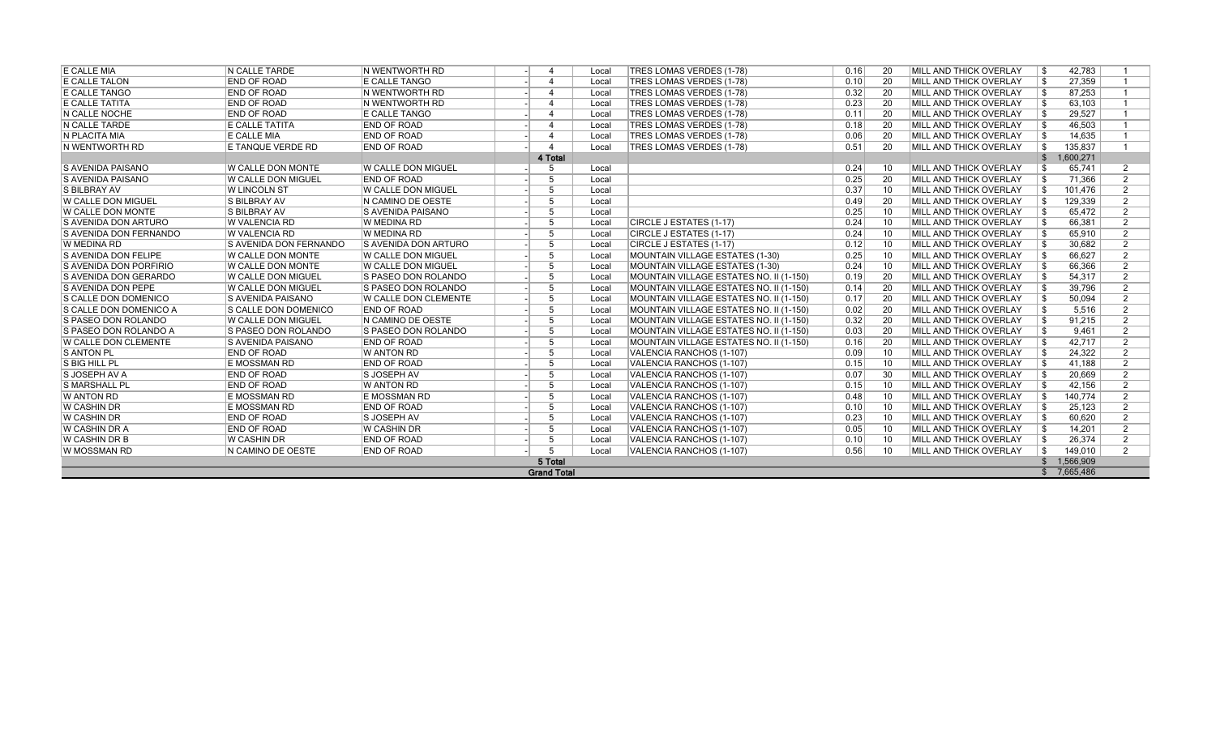| E CALLE MIA                  | <b>N CALLE TARDE</b>          | IN WENTWORTH RD              |                          | Local | <b>TRES LOMAS VERDES (1-78)</b>         | 0.16 | -20  | <b>MILL AND THICK OVERLAY</b>  | - \$         | 42.783      |                |
|------------------------------|-------------------------------|------------------------------|--------------------------|-------|-----------------------------------------|------|------|--------------------------------|--------------|-------------|----------------|
| E CALLE TALON                | <b>END OF ROAD</b>            | E CALLE TANGO                | $\boldsymbol{\Lambda}$   | Local | <b>TRES LOMAS VERDES (1-78)</b>         | 0.10 | 20   | <b>IMILL AND THICK OVERLAY</b> | -\$          | 27,359      |                |
| <b>E CALLE TANGO</b>         | <b>END OF ROAD</b>            | IN WENTWORTH RD              | $\boldsymbol{\Lambda}$   | Local | <b>TRES LOMAS VERDES (1-78)</b>         | 0.32 | -20  | MILL AND THICK OVERLAY         | -\$          | 87,253      |                |
| <b>E CALLE TATITA</b>        | <b>END OF ROAD</b>            | IN WENTWORTH RD              | $\boldsymbol{\Lambda}$   | Local | <b>TRES LOMAS VERDES (1-78)</b>         | 0.23 | -20  | <b>MILL AND THICK OVERLAY</b>  | -\$          | 63,103      |                |
| N CALLE NOCHE                | <b>END OF ROAD</b>            | E CALLE TANGO                | $\boldsymbol{\Lambda}$   | Local | <b>TRES LOMAS VERDES (1-78)</b>         | 0.11 | 20   | <b>MILL AND THICK OVERLAY</b>  | -\$          | 29,527      |                |
| N CALLE TARDE                | E CALLE TATITA                | <b>END OF ROAD</b>           | $\boldsymbol{\varDelta}$ | Local | <b>TRES LOMAS VERDES (1-78)</b>         | 0.18 | -20  | MILL AND THICK OVERLAY         | -\$          | 46,503      |                |
| N PLACITA MIA                | E CALLE MIA                   | <b>END OF ROAD</b>           | $\boldsymbol{\varDelta}$ | Local | <b>TRES LOMAS VERDES (1-78)</b>         | 0.06 | -20  | <b>MILL AND THICK OVERLAY</b>  | -\$          | 14.635      |                |
| N WENTWORTH RD               | E TANQUE VERDE RD             | <b>END OF ROAD</b>           |                          | Local | <b>TRES LOMAS VERDES (1-78)</b>         | 0.51 | 20   | MILL AND THICK OVERLAY         | -\$          | 135,837     |                |
|                              |                               |                              | 4 Total                  |       |                                         |      |      |                                | $\mathbb{S}$ | 1,600,271   |                |
| <b>S AVENIDA PAISANO</b>     | <b>W CALLE DON MONTE</b>      | W CALLE DON MIGUEL           | 5                        | Local |                                         | 0.24 | 10   | <b>MILL AND THICK OVERLAY</b>  | \$           | 65.741      | 2              |
| <b>S AVENIDA PAISANO</b>     | <b>W CALLE DON MIGUEL</b>     | <b>END OF ROAD</b>           | -5                       | Local |                                         | 0.25 | - 20 | <b>IMILL AND THICK OVERLAY</b> | \$           | 71,366      | 2              |
| <b>S BILBRAY AV</b>          | W LINCOLN ST                  | <b>IW CALLE DON MIGUEL</b>   | -5                       | Local |                                         | 0.37 | 10   | <b>MILL AND THICK OVERLAY</b>  | -\$          | 101,476     | $\mathfrak{p}$ |
| W CALLE DON MIGUEL           | <b>S BILBRAY AV</b>           | IN CAMINO DE OESTE           | -5                       | Local |                                         | 0.49 | -20  | <b>MILL AND THICK OVERLAY</b>  | -\$          | 129,339     | $\mathfrak{p}$ |
| <b>W CALLE DON MONTE</b>     | <b>S BILBRAY AV</b>           | <b>S AVENIDA PAISANO</b>     | -5                       | Local |                                         | 0.25 | 10   | MILL AND THICK OVERLAY         | -\$          | 65,472      | 2              |
| S AVENIDA DON ARTURO         | W VALENCIA RD                 | W MEDINA RD                  | 5                        | Local | CIRCLE J ESTATES (1-17)                 | 0.24 | 10   | MILL AND THICK OVERLAY         | -\$          | 66,381      | $\mathfrak{p}$ |
| S AVENIDA DON FERNANDO       | <b>W VALENCIA RD</b>          | W MEDINA RD                  | 5                        | Local | CIRCLE J ESTATES (1-17)                 | 0.24 | 10   | <b>MILL AND THICK OVERLAY</b>  | -\$          | 65.910      | $\mathfrak{p}$ |
| W MEDINA RD                  | <b>S AVENIDA DON FERNANDO</b> | <b>IS AVENIDA DON ARTURO</b> | 5                        | Local | CIRCLE J ESTATES (1-17)                 | 0.12 | 10   | <b>MILL AND THICK OVERLAY</b>  | -\$          | 30,682      | $\mathfrak{p}$ |
| S AVENIDA DON FELIPE         | <b>W CALLE DON MONTE</b>      | <b>W CALLE DON MIGUEL</b>    | 5                        | Local | MOUNTAIN VILLAGE ESTATES (1-30)         | 0.25 | 10   | MILL AND THICK OVERLAY         | \$           | 66,627      | $\mathfrak{p}$ |
| S AVENIDA DON PORFIRIO       | <b>W CALLE DON MONTE</b>      | <b>W CALLE DON MIGUEL</b>    | 5                        | Local | <b>MOUNTAIN VILLAGE ESTATES (1-30)</b>  | 0.24 | 10   | <b>MILL AND THICK OVERLAY</b>  | \$           | 66.366      | $\mathfrak{p}$ |
| <b>S AVENIDA DON GERARDO</b> | <b>IW CALLE DON MIGUEL</b>    | <b>IS PASEO DON ROLANDO</b>  | 5                        | Local | MOUNTAIN VILLAGE ESTATES NO. II (1-150) | 0.19 | 20   | <b>MILL AND THICK OVERLAY</b>  | \$           | 54,317      | $\mathfrak{p}$ |
| <b>S AVENIDA DON PEPE</b>    | W CALLE DON MIGUEL            | <b>S PASEO DON ROLANDO</b>   | 5                        | Local | MOUNTAIN VILLAGE ESTATES NO. II (1-150) | 0.14 | 20   | MILL AND THICK OVERLAY         | \$           | 39,796      | $\mathcal{P}$  |
| <b>S CALLE DON DOMENICO</b>  | <b>S AVENIDA PAISANO</b>      | W CALLE DON CLEMENTE         | -5                       | Local | MOUNTAIN VILLAGE ESTATES NO. II (1-150) | 0.17 | 20   | <b>MILL AND THICK OVERLAY</b>  | \$           | 50,094      | $\mathcal{P}$  |
| IS CALLE DON DOMENICO A      | <b>S CALLE DON DOMENICO</b>   | <b>END OF ROAD</b>           | -5                       | Local | MOUNTAIN VILLAGE ESTATES NO. II (1-150) | 0.02 | -20  | <b>MILL AND THICK OVERLAY</b>  | -S           | 5,516       | 2              |
| S PASEO DON ROLANDO          | W CALLE DON MIGUEL            | IN CAMINO DE OESTE           | -5                       | Local | MOUNTAIN VILLAGE ESTATES NO. II (1-150) | 0.32 | -20  | MILL AND THICK OVERLAY         | \$           | 91,215      | 2              |
| S PASEO DON ROLANDO A        | <b>S PASEO DON ROLANDO</b>    | <b>S PASEO DON ROLANDO</b>   | -5                       | Local | MOUNTAIN VILLAGE ESTATES NO. II (1-150) | 0.03 | 20   | MILL AND THICK OVERLAY         | -\$          | 9.461       | 2              |
| <b>IW CALLE DON CLEMENTE</b> | <b>S AVENIDA PAISANO</b>      | <b>END OF ROAD</b>           | -5                       | Local | MOUNTAIN VILLAGE ESTATES NO. II (1-150) | 0.16 | -20  | MILL AND THICK OVERLAY         | -\$          | 42,717      | 2              |
| <b>S ANTON PL</b>            | <b>END OF ROAD</b>            | W ANTON RD                   | 5                        | Local | VALENCIA RANCHOS (1-107)                | 0.09 | 10   | MILL AND THICK OVERLAY         | -\$          | 24,322      | $\mathfrak{p}$ |
| S BIG HILL PL                | <b>E MOSSMAN RD</b>           | <b>END OF ROAD</b>           | 5                        | Local | VALENCIA RANCHOS (1-107)                | 0.15 | 10   | MILL AND THICK OVERLAY         | -\$          | 41,188      | $\mathcal{P}$  |
| S JOSEPH AV A                | <b>END OF ROAD</b>            | <b>SJOSEPH AV</b>            | 5                        | Local | VALENCIA RANCHOS (1-107)                | 0.07 | -30  | <b>MILL AND THICK OVERLAY</b>  | -\$          | 20,669      | $\mathcal{P}$  |
| <b>S MARSHALL PL</b>         | <b>END OF ROAD</b>            | <b>W ANTON RD</b>            | 5                        | Local | VALENCIA RANCHOS (1-107)                | 0.15 | 10   | MILL AND THICK OVERLAY         | -\$          | 42,156      | $\mathfrak{p}$ |
| <b>W ANTON RD</b>            | <b>E MOSSMAN RD</b>           | E MOSSMAN RD                 | 5                        | Local | VALENCIA RANCHOS (1-107)                | 0.48 | 10   | <b>MILL AND THICK OVERLAY</b>  | -\$          | 140.774     | $\mathfrak{p}$ |
| W CASHIN DR                  | <b>E MOSSMAN RD</b>           | <b>END OF ROAD</b>           | -5                       | Local | VALENCIA RANCHOS (1-107)                | 0.10 | 10   | MILL AND THICK OVERLAY         | -\$          | 25,123      | 2              |
| W CASHIN DR                  | <b>END OF ROAD</b>            | <b>SJOSEPH AV</b>            | -5                       | Local | VALENCIA RANCHOS (1-107)                | 0.23 | 10   | MILL AND THICK OVERLAY         | -\$          | 60,620      | $\mathfrak{p}$ |
| <b>W CASHIN DR A</b>         | <b>END OF ROAD</b>            | <b>W CASHIN DR</b>           | -5                       | Local | VALENCIA RANCHOS (1-107)                | 0.05 | 10   | <b>MILL AND THICK OVERLAY</b>  | -\$          | 14.201      | $\overline{2}$ |
| W CASHIN DR B                | <b>W CASHIN DR</b>            | <b>END OF ROAD</b>           | -5                       | Local | VALENCIA RANCHOS (1-107)                | 0.10 | 10   | MILL AND THICK OVERLAY         | -\$          | 26,374      | 2              |
| IW MOSSMAN RD                | N CAMINO DE OESTE             | <b>END OF ROAD</b>           | -5                       | Local | VALENCIA RANCHOS (1-107)                | 0.56 | 10   | MILL AND THICK OVERLAY         | \$           | 149,010     | 2              |
|                              |                               |                              | 5 Total                  |       |                                         |      |      |                                | \$           | 1,566,909   |                |
|                              |                               |                              | <b>Grand Total</b>       |       |                                         |      |      |                                |              | \$7.665.486 |                |